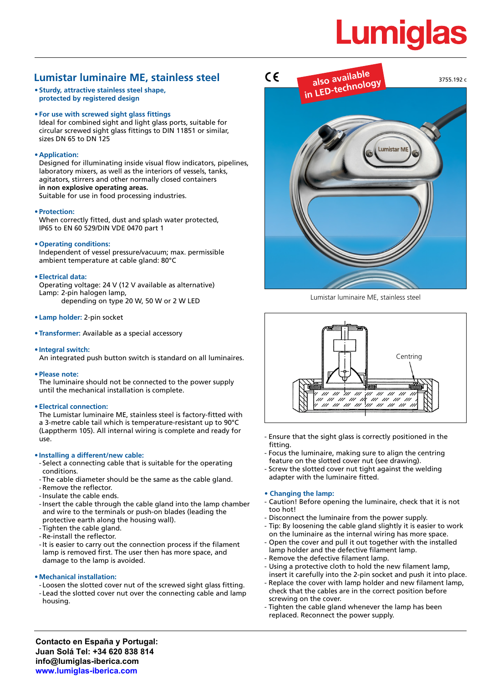# **Lumiglas**

# **Lumistar luminaire ME, stainless steel**

- **• Sturdy, attractive stainless steel shape, protected by registered design**
- **• For use with screwed sight glass fittings**

Ideal for combined sight and light glass ports, suitable for circular screwed sight glass fittings to DIN 11851 or similar, sizes DN 65 to DN 125

#### **• Application:**

Designed for illuminating inside visual flow indicators, pipelines, laboratory mixers, as well as the interiors of vessels, tanks, agitators, stirrers and other normally closed containers **in non explosive operating areas.** Suitable for use in food processing industries.

#### **• Protection:**

When correctly fitted, dust and splash water protected, IP65 to EN 60 529/DIN VDE 0470 part 1

#### **• Operating conditions:**

Independent of vessel pressure/vacuum; max. permissible ambient temperature at cable gland: 80°C

#### **• Electrical data:**

Operating voltage: 24 V (12 V available as alternative) Lamp: 2-pin halogen lamp, depending on type 20 W, 50 W or 2 W LED

- **• Lamp holder:** 2-pin socket
- **• Transformer:** Available as a special accessory
- **• Integral switch:**

An integrated push button switch is standard on all luminaires.

**• Please note:** 

The luminaire should not be connected to the power supply until the mechanical installation is complete.

#### **• Electrical connection:**

The Lumistar luminaire ME, stainless steel is factory-fitted with a 3-metre cable tail which is temperature-resistant up to 90°C (Lapptherm 105). All internal wiring is complete and ready for use.

#### **• Installing a different/new cable:**

- Select a connecting cable that is suitable for the operating conditions.
- The cable diameter should be the same as the cable gland. - Remove the reflector.
- -Insulate the cable ends.
- -Insert the cable through the cable gland into the lamp chamber and wire to the terminals or push-on blades (leading the protective earth along the housing wall).
- Tighten the cable gland.
- Re-install the reflector.
- -It is easier to carry out the connection process if the filament lamp is removed first. The user then has more space, and damage to the lamp is avoided.

#### **• Mechanical installation:**

- Loosen the slotted cover nut of the screwed sight glass fitting. - Lead the slotted cover nut over the connecting cable and lamp housing.



Lumistar luminaire ME, stainless steel



- Ensure that the sight glass is correctly positioned in the fitting.
- Focus the luminaire, making sure to align the centring feature on the slotted cover nut (see drawing).
- Screw the slotted cover nut tight against the welding adapter with the luminaire fitted.

#### **• Changing the lamp:**

- Caution! Before opening the luminaire, check that it is not too hot!
- Disconnect the luminaire from the power supply.
- Tip: By loosening the cable gland slightly it is easier to work on the luminaire as the internal wiring has more space.
- Open the cover and pull it out together with the installed lamp holder and the defective filament lamp.
- Remove the defective filament lamp.
- Using a protective cloth to hold the new filament lamp, insert it carefully into the 2-pin socket and push it into place.
- Replace the cover with lamp holder and new filament lamp, check that the cables are in the correct position before screwing on the cover.
- Tighten the cable gland whenever the lamp has been replaced. Reconnect the power supply.

**Contacto en España y Portugal: Juan Solá Tel: +34 620 838 814 info@lumiglas-iberica.com www.lumiglas-iberica.com**